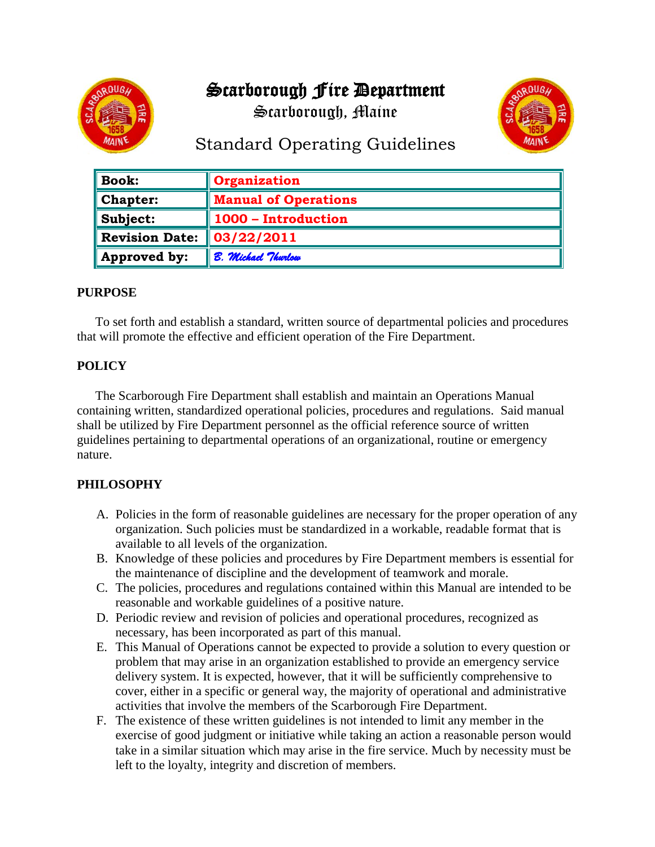# Scarborough Fire Department





# Standard Operating Guidelines

| <b>Book:</b>          | Organization                |
|-----------------------|-----------------------------|
| <b>Chapter:</b>       | <b>Manual of Operations</b> |
| Subject:              | 1000 - Introduction         |
| <b>Revision Date:</b> | $\parallel$ 03/22/2011      |
| Approved by:          | <b>8. Michael Thurlow</b>   |

#### **PURPOSE**

To set forth and establish a standard, written source of departmental policies and procedures that will promote the effective and efficient operation of the Fire Department.

## **POLICY**

The Scarborough Fire Department shall establish and maintain an Operations Manual containing written, standardized operational policies, procedures and regulations. Said manual shall be utilized by Fire Department personnel as the official reference source of written guidelines pertaining to departmental operations of an organizational, routine or emergency nature.

## **PHILOSOPHY**

- A. Policies in the form of reasonable guidelines are necessary for the proper operation of any organization. Such policies must be standardized in a workable, readable format that is available to all levels of the organization.
- B. Knowledge of these policies and procedures by Fire Department members is essential for the maintenance of discipline and the development of teamwork and morale.
- C. The policies, procedures and regulations contained within this Manual are intended to be reasonable and workable guidelines of a positive nature.
- D. Periodic review and revision of policies and operational procedures, recognized as necessary, has been incorporated as part of this manual.
- E. This Manual of Operations cannot be expected to provide a solution to every question or problem that may arise in an organization established to provide an emergency service delivery system. It is expected, however, that it will be sufficiently comprehensive to cover, either in a specific or general way, the majority of operational and administrative activities that involve the members of the Scarborough Fire Department.
- F. The existence of these written guidelines is not intended to limit any member in the exercise of good judgment or initiative while taking an action a reasonable person would take in a similar situation which may arise in the fire service. Much by necessity must be left to the loyalty, integrity and discretion of members.